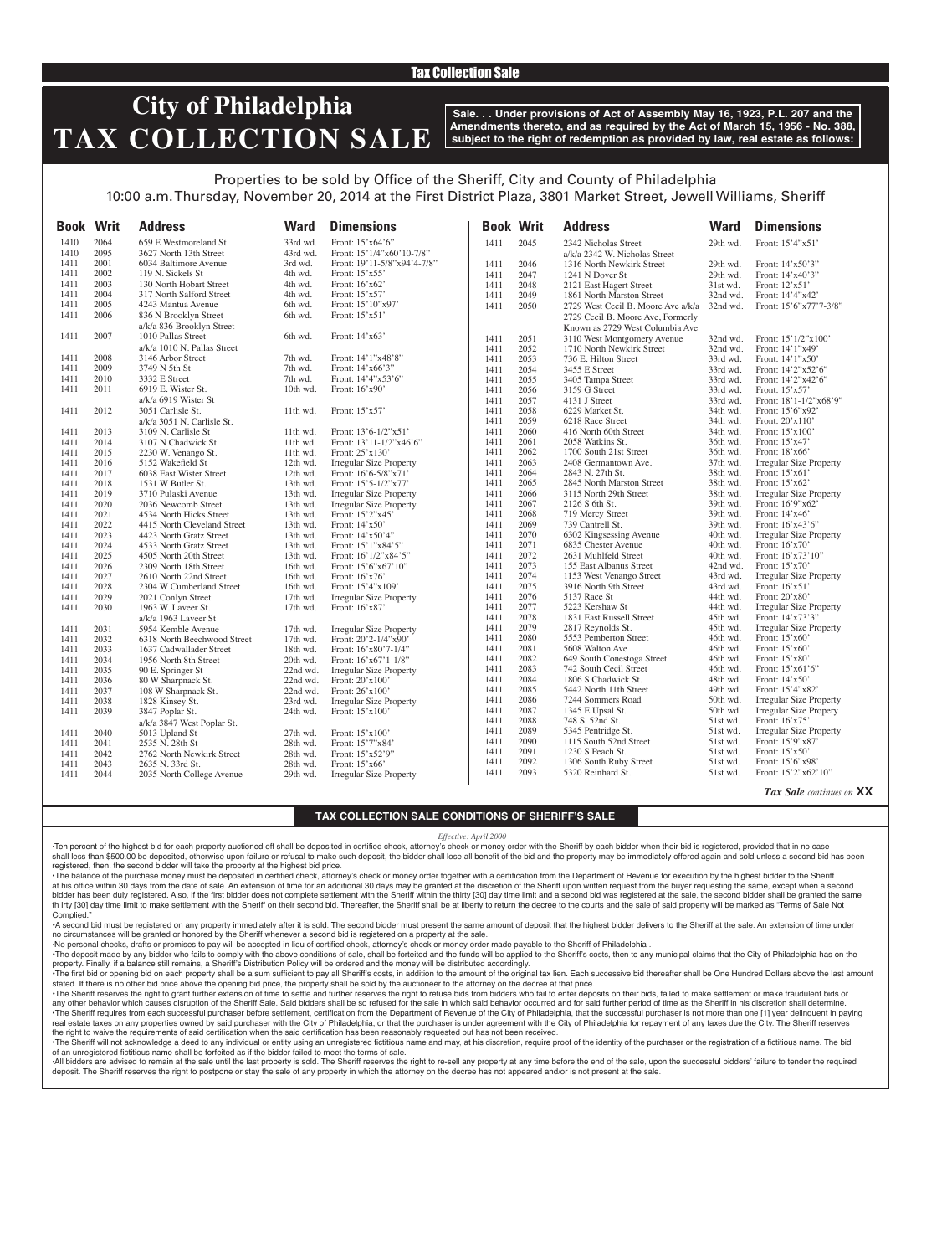## Tax Collection Sale

# **City of Philadelphia TAX COLLECTION SALE**

**Sale. . . Under provisions of Act of Assembly May 16, 1923, P.L. 207 and the Amendments thereto, and as required by the Act of March 15, 1956 - No. 388, subject to the right of redemption as provided by law, real estate as follows:**

## Properties to be sold by Office of the Sheriff, City and County of Philadelphia 10:00 a.m. Thursday, November 20, 2014 at the First District Plaza, 3801 Market Street, Jewell Williams, Sheriff

**Book Writ Address Ward Dimensions Book Writ Address Ward Dimensions** 1410 2064 659 E Westmoreland St. 33rd wd. Front: 15'x64'6" 1410 2095 3627 North 13th Street 43rd wd. Front: 15'1/4"x60'10-7/8" 1411 2001 6034 Baltimore Avenue 3rd wd. Front: 19'11-5/8"x94'4-7/8" 1411 2002 119 N. Sickels St 4th wd. Front: 15'x55'<br>1411 2003 130 North Hobart Street 4th wd. Front: 16'x62' 1411 2003 130 North Hobart Street 4th wd. Front: 16'x62' 2004 317 North Salford Street 4th wd. Front: 15'x57'<br>2005 4243 Mantua Avenue 6th wd. Front: 15'10"x97' 1411 2005 4243 Mantua Avenue 6th wd.<br>1411 2006 836 N Brooklyn Street 6th wd. 1411 2006 836 N Brooklyn Street a/k/a 836 Brooklyn Street 6th wd. Front: 15'x51' 1411 2007 1010 Pallas Street a/k/a 1010 N. Pallas Street 6th wd. Front: 14'x63' 1411 2008 3146 Arbor Street 7th wd. Front: 14'1"x48'8" 1411 2009 3749 N 5th St 7th wd. Front: 14'x66'3" 1411 2010 3332 E Street 7th wd. Front: 14'4"x53'6" 1411 2011 6919 E. Wister St. a/k/a 6919 Wister St 10th wd. Front: 16'x90' 1411 2012 3051 Carlisle St. a/k/a 3051 N. Carlisle St. 11th wd. Front: 15'x57' 1411 2013 3109 N. Carlisle St 11th wd. Front: 13'6-1/2"x51'<br>1411 2014 3107 N Chadwick St. 11th wd. Front: 13'11-1/2"x46 1411 2014 3107 N Chadwick St. 11th wd. Front: 13'11-1/2"x46'6"<br>1411 2015 2230 W. Venango St. 11th wd. Front: 25'x130' 2230 W. Venango St.<br>5152 Wakefield St 1411 2016 5152 Wakefield St 12th wd. Irregular Size Property<br>1411 2017 6038 East Wister Street 12th wd. Front: 16'6-5/8"x71' 1411 2017 6038 East Wister Street 12th wd. Front: 16'6-5/8"x71' Front: 15'5-1/2"x77' 1411 2019 3710 Pulaski Avenue 13th wd. Irregular Size Property<br>1411 2020 2036 Newcomb Street 13th wd. Irregular Size Property 1411 2020 2036 Newcomb Street 13th wd. Irregular Size Property 1411 2021 4534 North Hicks Street 13th wd. Front: 15'2"x45' 1411 2022 4415 North Cleveland Street 13th wd. Front: 14'x50'<br>1411 2023 4423 North Gratz Street 13th wd. Front: 14'x50'4' 1411 2023 4423 North Gratz Street 13th wd. Front: 14'x50'4"<br>1411 2024 4533 North Gratz Street 13th wd. Front: 15'1"x84'5" 2024 4533 North Gratz Street<br>2025 4505 North 20th Street 1411 2025 4505 North 20th Street 13th wd. Front: 16'1/2"x84'5" 1411 2026 2309 North 18th Street 16th wd. Front: 15'6"xt<br>1411 2027 2610 North 22nd Street 16th wd. Front: 16'x76' 1411 2027 2610 North 22nd Street 16th wd. Front: 16'x76'<br>1411 2028 2304 W Cumberland Street 16th wd. Front: 15'4"x109 1411 2028 2304 W Cumberland Street 16th wd.<br>1411 2029 2021 Conlyn Street 17th wd. 1411 2029 2021 Conlyn Street 17th wd. Irregular Size Property<br>1411 2030 1963 W. Laveer St. 17th wd. Front: 16'x87' 1963 W. Laveer St. a/k/a 1963 Laveer St<br>5954 Kemble Avenue Front: 16'x87' 1411 2031 5954 Kemble Avenue 17th wd. Irregular Size Property<br>1411 2032 6318 North Beechwood Street 17th wd. Front: 20'2-1/4"x90' 1411 2032 6318 North Beechwood Street 17th wd. Front: 20'2-1/4"x90' 1411 2033 1637 Cadwallader Street 18th wd. Front: 16'x80'7-1/4" 1411 2034 1956 North 8th Street 20th wd.<br>1411 2035 90 E. Springer St 22nd wd. 1411 2035 90 E. Springer St 22nd wd. Irregular Size Property<br>1411 2036 80 W Sharpnack St. 22nd wd. Front: 20'x100' 1411 2036 80 W Sharpnack St. 22nd wd. Front: 20'x100' 1411 2037 108 W Sharpnack St. 22nd wd.<br>1411 2038 1828 Kinsey St. 23rd wd. 1411 2038 1828 Kinsey St. 23rd wd. Irregular Size Property 3847 Poplar St. a/k/a 3847 West Poplar St. Front: 15'x100' 1411 2040 5013 Upland St 27th wd. Front: 15'x100'<br>1411 2041 2535 N. 28th St 28th wd. Front: 15'7"x84 1411 2041 2535 N. 28th St 28th wd. Front: 15'7"x84'<br>1411 2042 2762 North Newkirk Street 28th wd. Front: 15'x52'9" 1411 2042 2762 North Newkirk Street 28th wd. Front: 15'x52'<br>1411 2043 2635 N. 33rd St. 28th wd. Front: 15'x66' 1411 2043 2635 N. 33rd St. 28th wd. Front: 15'x66' 2035 North College Avenue 1411 2045 2342 Nicholas Street a/k/a 2342 W. Nicholas Street 29th wd. Front: 15'4"x51' 1411 2046 1316 North Newkirk Street 29th wd. Front: 14'x50'3" 1411 2047 1241 N Dover St 29th wd. Front: 14'x40'3" 2121 East Hagert Street 31st wd. Front: 12'x51'<br>1861 North Marston Street 32nd wd. Front: 14'4"x42" 1411 2049 1861 North Marston Street 32nd wd.<br>1411 2050 2729 West Cecil B. Moore Ave a/k/a 32nd wd. 2729 West Cecil B. Moore Ave a/k/a 2729 Cecil B. Moore Ave, Formerly Known as 2729 West Columbia Ave Front: 15'6"x77'7-3/8" 1411 2051 3110 West Montgomery Avenue 32nd wd. Front: 15'1/2"x100' 1411 2052 1710 North Newkirk Street 32nd wd. Front: 14'1"x49' 1411 2053 736 E. Hilton Street 33rd wd.<br>1411 2054 3455 E Street 33rd wd. 1411 2054 3455 E Street 33rd wd. Front: 14'2"x52'6"<br>1411 2055 3405 Tampa Street 33rd wd. Front: 14'2"x42'6" 2055 3405 Tampa Street 33rd wd. Front: 14'2"x42'6"<br>2056 3159 G Street 33rd wd. Front: 15'x57' 1411 2056 3159 G Street 33rd wd. Front: 15'x57' 1411 2057 4131 J Street 33rd wd. Front: 18'1-1/2"x68'9"<br>1411 2058 6229 Market St. 34th wd. Front: 15'6"x92' 2058 6229 Market St. 34th wd. Front: 15'6"x92'<br>2059 6218 Race Street 34th wd. Front: 20'x110' 1411 2059 6218 Race Street 34th wd. Front:  $20^{\circ}x110$ <br>1411 2060 416 North 60th Street 34th wd. Front: 15'x100 1411 2060 416 North 60th Street 34th wd. Front: 15'x100' 2058 Watkins St. 1411 2062 1700 South 21st Street 36th wd. Front: 18'x66' 1411 2063 2408 Germantown Ave. 37th wd. Irregular Size Property 1411 2064 2843 N. 27th St. 38th wd. Front: 15'x61' 1411 2065 2845 North Marston Street 38th wd. Front: 15'x62' 1411 2066 3115 North 29th Street 38th wd. Irregular Size Property 1411 2067 2126 S 6th St. 39th wd. Front: 16'9"x62' 1411 2068 719 Mercy Street 39th wd.<br>1411 2069 739 Cantrell St. 39th wd. 1411 2069 739 Cantrell St. 39th wd. Front: 16'x43'6'<br>1411 2070 6302 Kingsessing Avenue 40th wd. Irregular Size Pr 1411 2070 6302 Kingsessing Avenue 40th wd. Irregular Size Property<br>1411 2071 6835 Chester Avenue 40th wd. Front: 16'x70' 1411 2071 6835 Chester Avenue 40th wd. Front: 16'x70' 1411 2072 2631 Muhlfeld Street 40th wd. Front: 16'x73'<br>1411 2073 155 East Albanus Street 42nd wd. Front: 15'x70' 1411 2073 155 East Albanus Street 42nd wd. Front: 15' x 70'<br>1411 2074 1153 West Venango Street 43rd wd. Irregular Size Property 1411 2074 1153 West Venango Street 43rd wd. Irregular Size 1411 2075 3916 North 9th Street 43rd wd. Front: 16'x51' 1411 2075 3916 North 9th Street 43rd wd.<br>1411 2076 5137 Race St 44th wd. 1411 2076 5137 Race St 44th wd. Front: 20'x80' 1411 2077 5223 Kershaw St 44th wd. Irregular Size Property<br>1411 2078 1831 East Russell Street 45th wd. Front: 14'x73'3" 1411 2078 1831 East Russell Street 45th wd<br>1411 2079 2817 Reynolds St. 45th wd 1411 2079 2817 Reynolds St. 45th wd. Irregular Size Property<br>1411 2080 5553 Pemberton Street 46th wd. Front: 15'x60' 1411 2080 5553 Pemberton Street 46th wd. Front: 15'x60' 1411 2081 5608 Walton Ave 46th wd. Front: 15'x60'<br>1411 2082 649 South Conestoga Street 46th wd. Front: 15'x80' 1411 2082 649 South Conestoga Street 46th wd. Front: 15'x80' 1411 2083 742 South Cecil Street 46th wd. Front: 15'x61'<br>1411 2084 1806 S Chadwick St. 48th wd. Front: 14'x50' 1411 2084 1806 S Chadwick St. 48th wd. Front: 14'x50'<br>1411 2085 5442 North 11th Street 49th wd. Front: 15'4"x82' 1411 2085 5442 North 11th Street 49th wd.<br>1411 2086 7244 Sommers Road 50th wd. Irregular Size Property 1411 2087 1345 E Upsal St. 50th wd. Irregular Size Propery 1411 2088 748 S. 52nd St. 51st wd. Front: 16'x75' 1411 2089 5345 Pentridge St. 51st wd. Irregular Size Property 1411 2090 1115 South 52nd Street 51st wd. Front: 15'9"x87<br>1411 2091 1230 S Peach St. 51st wd. Front: 15'x50' 2091 1230 S Peach St. 51st wd. Front: 15'x50'<br>2092 1306 South Ruby Street 51st wd. Front: 15'6"x98 1411 2092 1306 South Ruby Street 51st wd.<br>1411 2093 5320 Reinhard St. 51st wd. 1411 2093 5320 Reinhard St. 51st wd. Front: 15'2"x62'10"

*Tax Sale continues on* **XX**

### **TAX COLLECTION SALE CONDITIONS OF SHERIFF'S SALE**

#### *Effective: April 2000*

·Ten percent of the highest bid for each property auctioned off shall be deposited in certified check, attorney's check or money order with the Sheriff by each bidder when their bid is registered, provided that in no case shall less than \$500.00 be deposited, otherwise upon failure or refusal to make such deposit, the bidder shall lose all benefit of the bid and the property may be immediately offered again and sold unless a second bid has registered, then, the second bidder will take the property at the highest bid price.

•The balance of the purchase money must be deposited in certified check, attorney's check or money order together with a certification from the Department of Revenue for execution by the highest bidder to the Sheriff at his office within 30 days from the date of sale. An extension of time for an additional 30 days may be granted at the discretion of the Sheriff upon written request from the buyer requesting the same, except when a second bidder has been duly registered. Also, if the first bidder does not complete settlement with the Sheriff within the thirty [30] day time limit and a second bid was registered at the sale, the second bidder shall be granted th irty [30] day time limit to make settlement with the Sheriff on their second bid. Thereafter, the Sheriff shall be at liberty to return the decree to the courts and the sale of said property will be marked as "Terms of Complied.

•A second bid must be registered on any property immediately after it is sold. The second bidder must present the same amount of deposit that the highest bidder delivers to the Sheriff at the sale. An extension of time under no circumstances will be granted or honored by the Sheriff whenever a second bid is registered on a property at the sale.

·No personal checks, drafts or promises to pay will be accepted in lieu of certified check, attorney's check or money order made payable to the Sheriff of Philadelphia .

. The deposit made by any bidder who fails to comply with the above conditions of sale, shall be forteited and the funds will be applied to the Sheriff's costs, then to any municipal claims that the City of Philadelphia ha property. Finally, if a balance still remains, a Sheriff's Distribution Policy will be ordered and the money will be distributed accordingly.

The first bid or opening bid on each property shall be a sum sufficient to pay all Sheriff's costs, in addition to the amount of the original tax lien. Each successive bid thereafter shall be One Hundred Dollars above the stated. If there is no other bid price above the opening bid price, the property shall be sold by the auctioneer to the attorney on the decree at that price.

·The Sheriff reserves the right to grant further extension of time to settle and further reserves the right to refuse bids from bidders who fail to enter deposits on their bids, failed to make settlement or make fraudulent any other behavior which causes disruption of the Sheriff Sale. Said bidders shall be so refused for the sale in which said behavior occurred and for said further period of time as the Sheriff in his discretion shall deter •The Sheriff requires from each successful purchaser before settlement, certification from the Department of Revenue of the City of Philadelphia, that the successful purchaser is not more than one [1] year delinguent in pa real estate taxes on any properties owned by said purchaser with the City of Philadelphia, or that the purchaser is under agreement with the City of Philadelphia for repayment of any taxes due the City. The Sheriff reserve the right to waive the requirements of said certification when the said certification has been reasonably requested but has not been received.

The Sheriff will not acknowledge a deed to any individual or entity using an unregistered fictitious name and may, at his discretion, require proof of the identity of the purchaser or the registration of a fictitious name. of an unregistered fictitious name shall be forfeited as if the bidder failed to meet the terms of sale.

All bidders are advised to remain at the sale until the last property is sold. The Sheriff reserves the right to re-sell any property at any time before the end of the sale. upon the successful bidders' failure to tender t deposit. The Sheriff reserves the right to postpone or stay the sale of any property in which the attorney on the decree has not appeared and/or is not present at the sale.